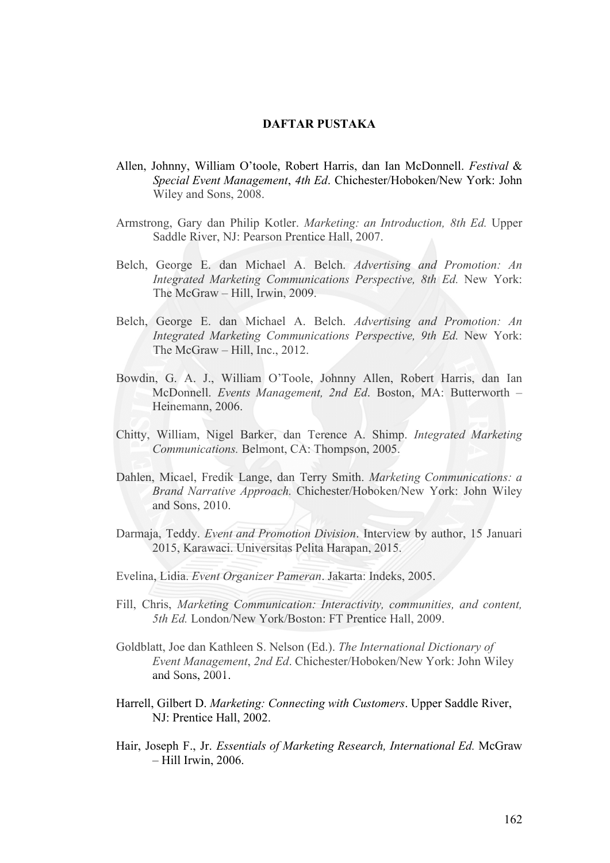## **DAFTAR PUSTAKA**

- Allen, Johnny, William O'toole, Robert Harris, dan Ian McDonnell. *Festival* & *Special Event Management*, *4th Ed*. Chichester/Hoboken/New York: John Wiley and Sons, 2008.
- Armstrong, Gary dan Philip Kotler. *Marketing: an Introduction, 8th Ed.* Upper Saddle River, NJ: Pearson Prentice Hall, 2007.
- Belch, George E. dan Michael A. Belch. *Advertising and Promotion: An Integrated Marketing Communications Perspective, 8th Ed. New York:* The McGraw – Hill, Irwin, 2009.
- Belch, George E. dan Michael A. Belch. *Advertising and Promotion: An Integrated Marketing Communications Perspective, 9th Ed. New York:* The McGraw – Hill, Inc., 2012.
- Bowdin, G. A. J., William O'Toole, Johnny Allen, Robert Harris, dan Ian McDonnell. *Events Management, 2nd Ed*. Boston, MA: Butterworth – Heinemann, 2006.
- Chitty, William, Nigel Barker, dan Terence A. Shimp. *Integrated Marketing Communications.* Belmont, CA: Thompson, 2005.
- Dahlen, Micael, Fredik Lange, dan Terry Smith. *Marketing Communications: a Brand Narrative Approach.* Chichester/Hoboken/New York: John Wiley and Sons, 2010.
- Darmaja, Teddy. *Event and Promotion Division*. Interview by author, 15 Januari 2015, Karawaci. Universitas Pelita Harapan, 2015.
- Evelina, Lidia. *Event Organizer Pameran*. Jakarta: Indeks, 2005.
- Fill, Chris, *Marketing Communication: Interactivity, communities, and content, 5th Ed.* London/New York/Boston: FT Prentice Hall, 2009.
- Goldblatt, Joe dan Kathleen S. Nelson (Ed.). *The International Dictionary of Event Management*, *2nd Ed*. Chichester/Hoboken/New York: John Wiley and Sons, 2001.
- Harrell, Gilbert D. *Marketing: Connecting with Customers*. Upper Saddle River, NJ: Prentice Hall, 2002.
- Hair, Joseph F., Jr. *Essentials of Marketing Research, International Ed.* McGraw – Hill Irwin, 2006.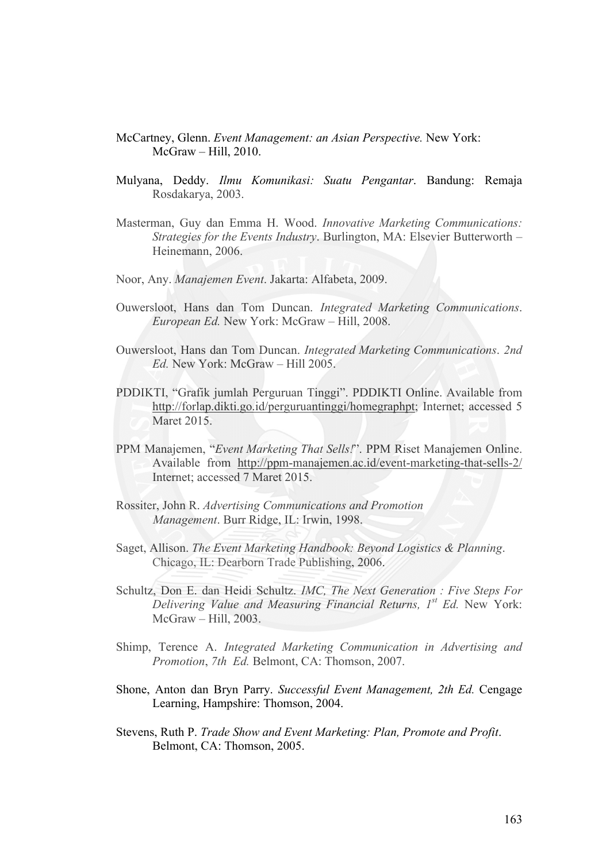- McCartney, Glenn. *Event Management: an Asian Perspective.* New York: McGraw – Hill, 2010.
- Mulyana, Deddy. *Ilmu Komunikasi: Suatu Pengantar*. Bandung: Remaja Rosdakarya, 2003.
- Masterman, Guy dan Emma H. Wood. *Innovative Marketing Communications: Strategies for the Events Industry*. Burlington, MA: Elsevier Butterworth – Heinemann, 2006.
- Noor, Any. *Manajemen Event*. Jakarta: Alfabeta, 2009.
- Ouwersloot, Hans dan Tom Duncan. *Integrated Marketing Communications*. *European Ed.* New York: McGraw – Hill, 2008.
- Ouwersloot, Hans dan Tom Duncan. *Integrated Marketing Communications*. *2nd Ed.* New York: McGraw – Hill 2005.
- PDDIKTI, "Grafik jumlah Perguruan Tinggi". PDDIKTI Online. Available from http://forlap.dikti.go.id/perguruantinggi/homegraphpt; Internet; accessed 5 Maret 2015.
- PPM Manajemen, "*Event Marketing That Sells!*". PPM Riset Manajemen Online. Available from http://ppm-manajemen.ac.id/event-marketing-that-sells-2/ Internet; accessed 7 Maret 2015.
- Rossiter, John R. *Advertising Communications and Promotion Management*. Burr Ridge, IL: Irwin, 1998.
- Saget, Allison. *The Event Marketing Handbook: Beyond Logistics & Planning*. Chicago, IL: Dearborn Trade Publishing, 2006.
- Schultz, Don E. dan Heidi Schultz. *IMC, The Next Generation : Five Steps For Delivering Value and Measuring Financial Returns, 1st Ed.* New York: McGraw – Hill, 2003.
- Shimp, Terence A. *Integrated Marketing Communication in Advertising and Promotion*, *7th Ed.* Belmont, CA: Thomson, 2007.
- Shone, Anton dan Bryn Parry. *Successful Event Management, 2th Ed.* Cengage Learning, Hampshire: Thomson, 2004.
- Stevens, Ruth P. *Trade Show and Event Marketing: Plan, Promote and Profit*. Belmont, CA: Thomson, 2005.